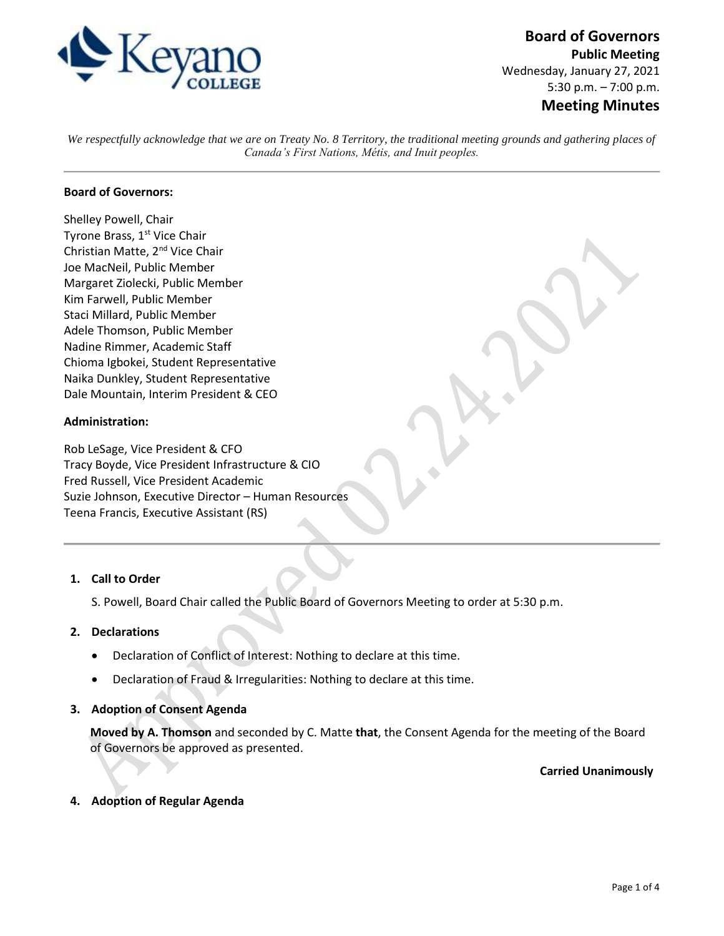

**Board of Governors Public Meeting** Wednesday, January 27, 2021 5:30 p.m. – 7:00 p.m. **Meeting Minutes**

*We respectfully acknowledge that we are on Treaty No. 8 Territory, the traditional meeting grounds and gathering places of Canada's First Nations, Métis, and Inuit peoples.*

### **Board of Governors:**

Shelley Powell, Chair Tyrone Brass, 1<sup>st</sup> Vice Chair Christian Matte, 2nd Vice Chair Joe MacNeil, Public Member Margaret Ziolecki, Public Member Kim Farwell, Public Member Staci Millard, Public Member Adele Thomson, Public Member Nadine Rimmer, Academic Staff Chioma Igbokei, Student Representative Naika Dunkley, Student Representative Dale Mountain, Interim President & CEO

## **Administration:**

Rob LeSage, Vice President & CFO Tracy Boyde, Vice President Infrastructure & CIO Fred Russell, Vice President Academic Suzie Johnson, Executive Director – Human Resources Teena Francis, Executive Assistant (RS)

## **1. Call to Order**

S. Powell, Board Chair called the Public Board of Governors Meeting to order at 5:30 p.m.

## **2. Declarations**

- Declaration of Conflict of Interest: Nothing to declare at this time.
- Declaration of Fraud & Irregularities: Nothing to declare at this time.

## **3. Adoption of Consent Agenda**

**Moved by A. Thomson** and seconded by C. Matte **that**, the Consent Agenda for the meeting of the Board of Governors be approved as presented.

**Carried Unanimously**

### **4. Adoption of Regular Agenda**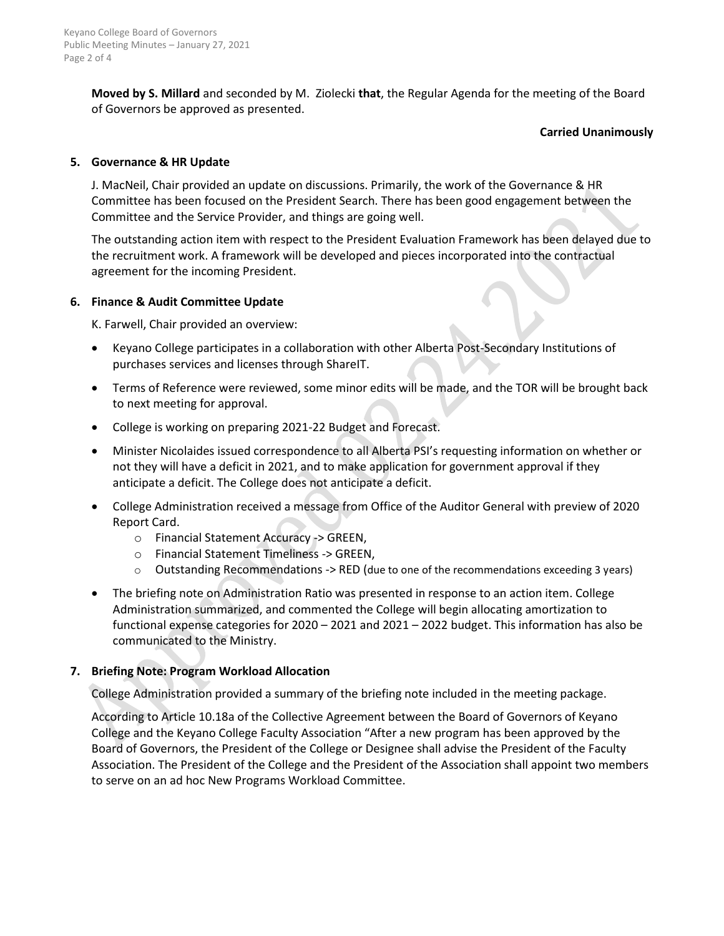**Moved by S. Millard** and seconded by M. Ziolecki **that**, the Regular Agenda for the meeting of the Board of Governors be approved as presented.

#### **Carried Unanimously**

# **5. Governance & HR Update**

J. MacNeil, Chair provided an update on discussions. Primarily, the work of the Governance & HR Committee has been focused on the President Search. There has been good engagement between the Committee and the Service Provider, and things are going well.

The outstanding action item with respect to the President Evaluation Framework has been delayed due to the recruitment work. A framework will be developed and pieces incorporated into the contractual agreement for the incoming President.

## **6. Finance & Audit Committee Update**

K. Farwell, Chair provided an overview:

- Keyano College participates in a collaboration with other Alberta Post-Secondary Institutions of purchases services and licenses through ShareIT.
- Terms of Reference were reviewed, some minor edits will be made, and the TOR will be brought back to next meeting for approval.
- College is working on preparing 2021-22 Budget and Forecast.
- Minister Nicolaides issued correspondence to all Alberta PSI's requesting information on whether or not they will have a deficit in 2021, and to make application for government approval if they anticipate a deficit. The College does not anticipate a deficit.
- College Administration received a message from Office of the Auditor General with preview of 2020 Report Card.
	- o Financial Statement Accuracy -> GREEN,
	- o Financial Statement Timeliness -> GREEN,
	- o Outstanding Recommendations -> RED (due to one of the recommendations exceeding 3 years)
- The briefing note on Administration Ratio was presented in response to an action item. College Administration summarized, and commented the College will begin allocating amortization to functional expense categories for 2020 – 2021 and 2021 – 2022 budget. This information has also be communicated to the Ministry.

# **7. Briefing Note: Program Workload Allocation**

College Administration provided a summary of the briefing note included in the meeting package.

According to Article 10.18a of the Collective Agreement between the Board of Governors of Keyano College and the Keyano College Faculty Association "After a new program has been approved by the Board of Governors, the President of the College or Designee shall advise the President of the Faculty Association. The President of the College and the President of the Association shall appoint two members to serve on an ad hoc New Programs Workload Committee.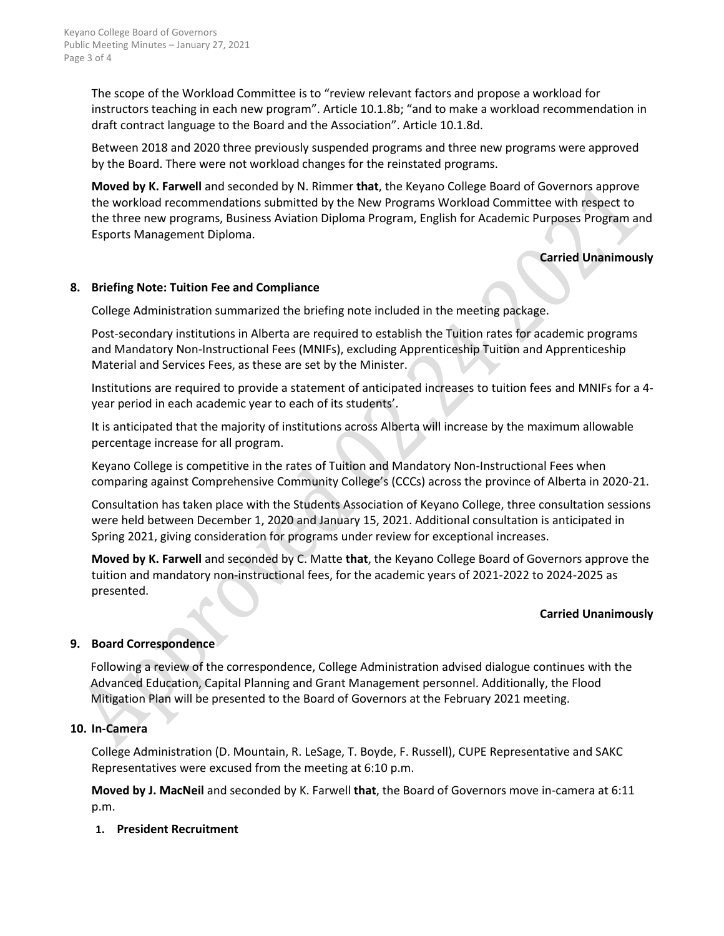The scope of the Workload Committee is to "review relevant factors and propose a workload for instructors teaching in each new program". Article 10.1.8b; "and to make a workload recommendation in draft contract language to the Board and the Association". Article 10.1.8d.

Between 2018 and 2020 three previously suspended programs and three new programs were approved by the Board. There were not workload changes for the reinstated programs.

**Moved by K. Farwell** and seconded by N. Rimmer **that**, the Keyano College Board of Governors approve the workload recommendations submitted by the New Programs Workload Committee with respect to the three new programs, Business Aviation Diploma Program, English for Academic Purposes Program and Esports Management Diploma.

# **Carried Unanimously**

# **8. Briefing Note: Tuition Fee and Compliance**

College Administration summarized the briefing note included in the meeting package.

Post-secondary institutions in Alberta are required to establish the Tuition rates for academic programs and Mandatory Non-Instructional Fees (MNIFs), excluding Apprenticeship Tuition and Apprenticeship Material and Services Fees, as these are set by the Minister.

Institutions are required to provide a statement of anticipated increases to tuition fees and MNIFs for a 4 year period in each academic year to each of its students'.

It is anticipated that the majority of institutions across Alberta will increase by the maximum allowable percentage increase for all program.

Keyano College is competitive in the rates of Tuition and Mandatory Non-Instructional Fees when comparing against Comprehensive Community College's (CCCs) across the province of Alberta in 2020-21.

Consultation has taken place with the Students Association of Keyano College, three consultation sessions were held between December 1, 2020 and January 15, 2021. Additional consultation is anticipated in Spring 2021, giving consideration for programs under review for exceptional increases.

**Moved by K. Farwell** and seconded by C. Matte **that**, the Keyano College Board of Governors approve the tuition and mandatory non-instructional fees, for the academic years of 2021-2022 to 2024-2025 as presented.

# **Carried Unanimously**

# **9. Board Correspondence**

Following a review of the correspondence, College Administration advised dialogue continues with the Advanced Education, Capital Planning and Grant Management personnel. Additionally, the Flood Mitigation Plan will be presented to the Board of Governors at the February 2021 meeting.

# **10. In-Camera**

College Administration (D. Mountain, R. LeSage, T. Boyde, F. Russell), CUPE Representative and SAKC Representatives were excused from the meeting at 6:10 p.m.

**Moved by J. MacNeil** and seconded by K. Farwell **that**, the Board of Governors move in-camera at 6:11 p.m.

# **1. President Recruitment**